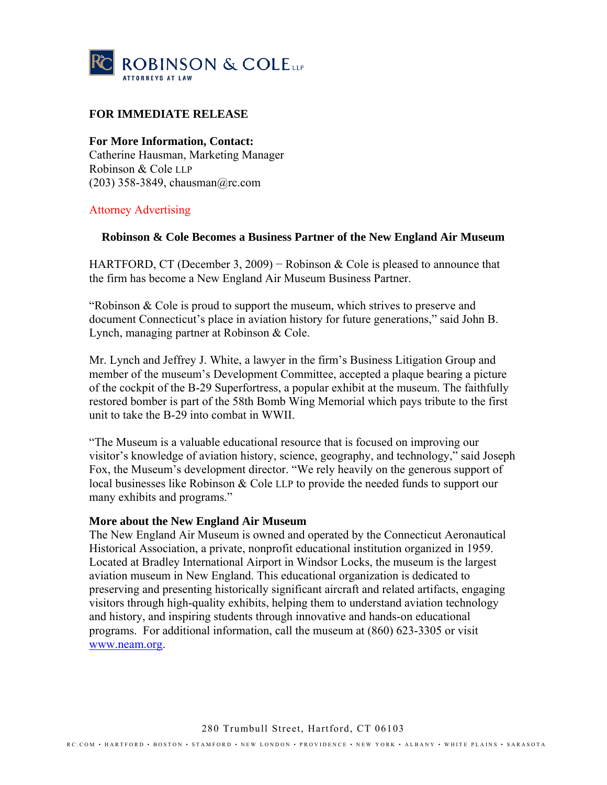

## **FOR IMMEDIATE RELEASE**

**For More Information, Contact:** 

Catherine Hausman, Marketing Manager Robinson & Cole LLP (203) 358-3849, chausman@rc.com

## Attorney Advertising

## **Robinson & Cole Becomes a Business Partner of the New England Air Museum**

HARTFORD, CT (December 3, 2009) – Robinson & Cole is pleased to announce that the firm has become a New England Air Museum Business Partner.

"Robinson & Cole is proud to support the museum, which strives to preserve and document Connecticut's place in aviation history for future generations," said John B. Lynch, managing partner at Robinson & Cole.

Mr. Lynch and Jeffrey J. White, a lawyer in the firm's Business Litigation Group and member of the museum's Development Committee, accepted a plaque bearing a picture of the cockpit of the B-29 Superfortress, a popular exhibit at the museum. The faithfully restored bomber is part of the 58th Bomb Wing Memorial which pays tribute to the first unit to take the B-29 into combat in WWII.

"The Museum is a valuable educational resource that is focused on improving our visitor's knowledge of aviation history, science, geography, and technology," said Joseph Fox, the Museum's development director. "We rely heavily on the generous support of local businesses like Robinson & Cole LLP to provide the needed funds to support our many exhibits and programs."

## **More about the New England Air Museum**

The New England Air Museum is owned and operated by the Connecticut Aeronautical Historical Association, a private, nonprofit educational institution organized in 1959. Located at Bradley International Airport in Windsor Locks, the museum is the largest aviation museum in New England. This educational organization is dedicated to preserving and presenting historically significant aircraft and related artifacts, engaging visitors through high-quality exhibits, helping them to understand aviation technology and history, and inspiring students through innovative and hands-on educational programs. For additional information, call the museum at (860) 623-3305 or visit www.neam.org.

280 Trumbull Street, Hartford, CT 06103